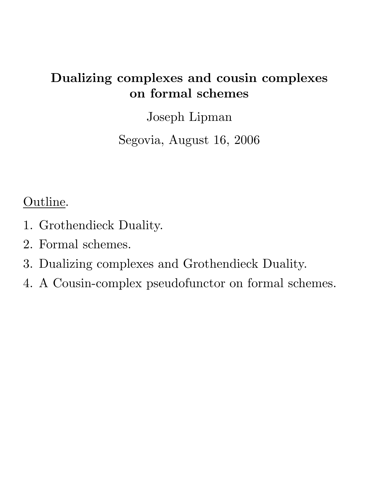# **Dualizing complexes and cousin complexes on formal schemes**

Joseph Lipman

Segovia, August 16, 2006

Outline.

- 1. Grothendieck Duality.
- 2. Formal schemes.
- 3. Dualizing complexes and Grothendieck Duality.
- 4. A Cousin-complex pseudofunctor on formal schemes.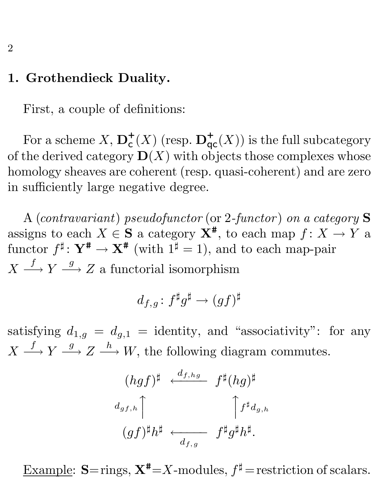# **1. Grothendieck Duality.**

First, a couple of definitions:

For a scheme  $X$ ,  $\mathbf{D}_{\mathsf{c}}^{+}(X)$  (resp.  $\mathbf{D}_{\mathsf{qc}}^{+}(X)$ ) is the full subcategory of the derived category  $\mathbf{D}(X)$  with objects those complexes whose homology sheaves are coherent (resp. quasi-coherent) and are zero in sufficiently large negative degree.

A (*contravariant*) *pseudofunctor* (or 2*-functor* ) *on a category* **S** assigns to each  $X \in \mathbf{S}$  a category  $\mathbf{X}^*$ , to each map  $f: X \to Y$  a functor  $f^{\sharp}: \mathbf{Y}^{\#} \to \mathbf{X}^{\#}$  (with  $1^{\sharp} = 1$ ), and to each map-pair  $X \stackrel{f}{\longrightarrow} Y \stackrel{g}{\longrightarrow} Z$  a functorial isomorphism

$$
d_{f,g}\colon f^\sharp g^\sharp \to (gf)^\sharp
$$

satisfying  $d_{1,g} = d_{g,1}$  = identity, and "associativity": for any  $X \stackrel{f}{\longrightarrow} Y \stackrel{g}{\longrightarrow} Z \stackrel{h}{\longrightarrow} W$ , the following diagram commutes.

$$
(h g f)^\sharp \xleftarrow{d_{f,hg}} f^\sharp (h g)^\sharp
$$
  

$$
d_{g f, h} \uparrow \qquad \qquad \uparrow f^\sharp d_{g,h}
$$
  

$$
(g f)^\sharp h^\sharp \xleftarrow{d_{f,g}} f^\sharp g^\sharp h^\sharp.
$$

Example:  $S = \text{rings}, X^* = X$ -modules,  $f^{\sharp} = \text{restriction of scalars}.$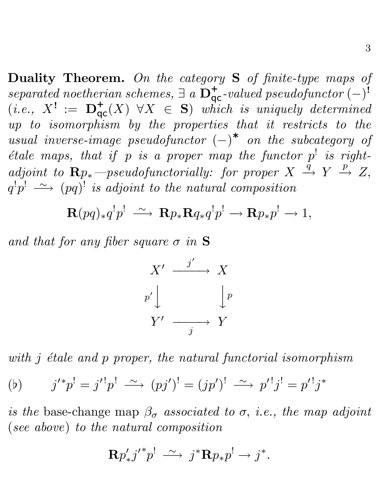**Duality Theorem.** *On the category* **S** *of finite-type maps of*  $s$ eparated noetherian schemes,  $\exists a \mathbf{D}_{\mathsf{qc}}^+$ -valued pseudofunctor  $(-)^{i}$  $(i.e., X' := \mathbf{D}_{\mathsf{qc}}^+(X) \ \forall X \in \mathbf{S}$  *which is uniquely determined up to isomorphism by the properties that it restricts to the usual inverse-image pseudofunctor*  $(-)^*$  *on the subcategory of étale maps, that if* p *is a proper map the functor*  $p^!$  *is right* $adjoint to \mathbf{R}p_*$  —pseudofunctorially: for proper  $X \stackrel{\tilde{q}}{\rightarrow} Y \stackrel{p}{\rightarrow} Z$ ,  $q^! p^! \; \stackrel{\sim}{\longrightarrow} \; (pq)^!$  *is adjoint to the natural composition* 

$$
\mathbf{R}(pq)_{*}q^{!}p^{!}\ \xrightarrow{\sim}\ \mathbf{R}p_{*}\mathbf{R}q_{*}q^{!}p^{!}\rightarrow\mathbf{R}p_{*}p^{!}\rightarrow 1,
$$

*and that for any fiber square* σ *in* **S**



*with j étale and p proper, the natural functorial isomorphism* 

(b) 
$$
j'^*p' = j'^!p' \xrightarrow{\sim} (pj')^! = (jp')^! \xrightarrow{\sim} p'^!j^! = p'^!j^*
$$

*is the* base-change map  $\beta_{\sigma}$  *associated to*  $\sigma$ *, i.e., the map adjoint* (*see above*) *to the natural composition*

$$
\mathbf{R} p'_{*} {j'}^{*} p^{!} \ \stackrel{\sim}{\longrightarrow} \ j^{*} \mathbf{R} p_{*} p^{!} \rightarrow j^{*}.
$$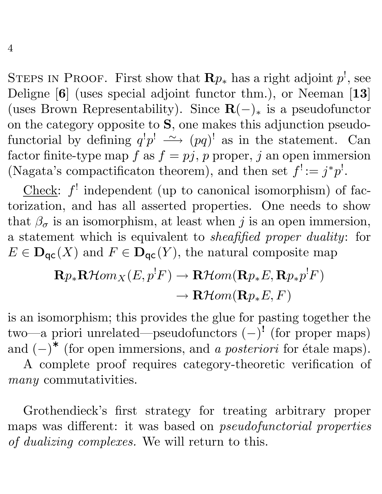STEPS IN PROOF. First show that  $\mathbf{R}p_*$  has a right adjoint  $p^!$ , see Deligne [**6**] (uses special adjoint functor thm.), or Neeman [**13**] (uses Brown Representability). Since  $\mathbf{R}(-)_*$  is a pseudofunctor on the category opposite to **S**, one makes this adjunction pseudofunctorial by defining  $q^!p^! \longrightarrow (pq)^!$  as in the statement. Can factor finite-type map  $f$  as  $f = pj$ , p proper, j an open immersion (Nagata's compactificaton theorem), and then set  $f' := j^*p'$ .

Check:  $f'$  independent (up to canonical isomorphism) of factorization, and has all asserted properties. One needs to show that  $\beta_{\sigma}$  is an isomorphism, at least when j is an open immersion, a statement which is equivalent to *sheafified proper duality*: for  $E \in \mathbf{D}_{\mathsf{qc}}(X)$  and  $F \in \mathbf{D}_{\mathsf{qc}}(Y)$ , the natural composite map

$$
\mathbf{R}p_*\mathbf{R}\mathcal{H}om_X(E,p^!F) \to \mathbf{R}\mathcal{H}om(\mathbf{R}p_*E,\mathbf{R}p_*p^!F) \to \mathbf{R}\mathcal{H}om(\mathbf{R}p_*E,F)
$$

is an isomorphism; this provides the glue for pasting together the two—a priori unrelated—pseudofunctors (−)**!** (for proper maps) and  $(-)^*$  (for open immersions, and *a posteriori* for étale maps).

A complete proof requires category-theoretic verification of *many* commutativities.

Grothendieck's first strategy for treating arbitrary proper maps was different: it was based on *pseudofunctorial properties of dualizing complexes.* We will return to this.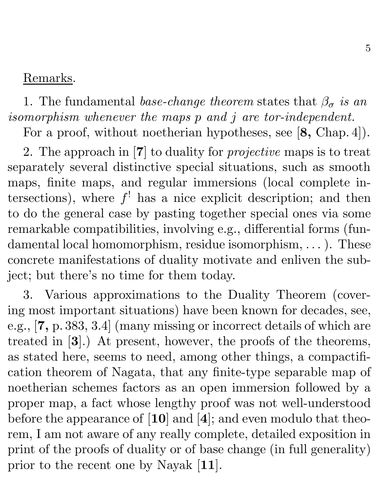## Remarks.

1. The fundamental *base-change theorem* states that  $\beta_{\sigma}$  *is an isomorphism whenever the maps* p *and* j *are tor-independent.*

For a proof, without noetherian hypotheses, see [**8,** Chap. 4]).

2. The approach in [**7**] to duality for *projective* maps is to treat separately several distinctive special situations, such as smooth maps, finite maps, and regular immersions (local complete intersections), where  $f'$  has a nice explicit description; and then to do the general case by pasting together special ones via some remarkable compatibilities, involving e.g., differential forms (fundamental local homomorphism, residue isomorphism, ... ). These concrete manifestations of duality motivate and enliven the subject; but there's no time for them today.

3. Various approximations to the Duality Theorem (covering most important situations) have been known for decades, see, e.g., [**7,** p. 383, 3.4] (many missing or incorrect details of which are treated in [**3**].) At present, however, the proofs of the theorems, as stated here, seems to need, among other things, a compactification theorem of Nagata, that any finite-type separable map of noetherian schemes factors as an open immersion followed by a proper map, a fact whose lengthy proof was not well-understood before the appearance of [**10**] and [**4**]; and even modulo that theorem, I am not aware of any really complete, detailed exposition in print of the proofs of duality or of base change (in full generality) prior to the recent one by Nayak [**11**].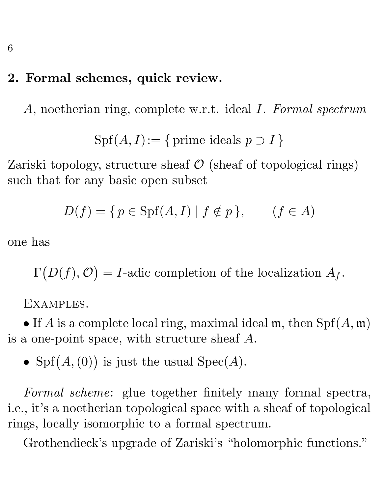# **2. Formal schemes, quick review.**

A, noetherian ring, complete w.r.t. ideal I. *Formal spectrum*

 $Spf(A, I):=\{$  prime ideals  $p \supset I\}$ 

Zariski topology, structure sheaf  $\mathcal O$  (sheaf of topological rings) such that for any basic open subset

$$
D(f) = \{ p \in \text{Spf}(A, I) \mid f \notin p \}, \qquad (f \in A)
$$

one has

 $\Gamma$  $(D(f), \mathcal{O}) = I$ -adic completion of the localization  $A_f$ .

Examples.

• If A is a complete local ring, maximal ideal m, then  $Spf(A, m)$ is a one-point space, with structure sheaf A.

• Spf $(A, (0))$  is just the usual Spec $(A)$ .

*Formal scheme*: glue together finitely many formal spectra, i.e., it's a noetherian topological space with a sheaf of topological rings, locally isomorphic to a formal spectrum.

Grothendieck's upgrade of Zariski's "holomorphic functions."

6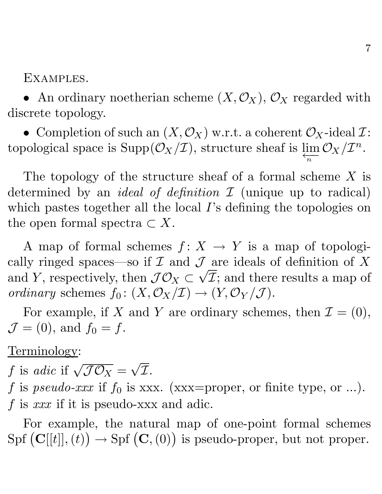Examples.

• An ordinary noetherian scheme  $(X, \mathcal{O}_X)$ ,  $\mathcal{O}_X$  regarded with discrete topology.

• Completion of such an  $(X, \mathcal{O}_X)$  w.r.t. a coherent  $\mathcal{O}_X$ -ideal  $\mathcal{I}$ : topological space is  $\text{Supp}(\mathcal{O}_X/\mathcal{I})$ , structure sheaf is  $\varprojlim_n \mathcal{O}_X/\mathcal{I}^n$ .

The topology of the structure sheaf of a formal scheme X is determined by an *ideal of definition* I (unique up to radical) which pastes together all the local I's defining the topologies on the open formal spectra  $\subset X$ .

A map of formal schemes  $f: X \to Y$  is a map of topologically ringed spaces—so if  $\mathcal I$  and  $\mathcal J$  are ideals of definition of X cany ringed spaces—so if  $\mathcal{L}$  and  $\mathcal{J}$  are ideals of definition of  $\Lambda$  and  $Y$ , respectively, then  $\mathcal{J}\mathcal{O}_X\subset \sqrt{\mathcal{I}}$ ; and there results a map of *ordinary* schemes  $f_0: (X, \mathcal{O}_X/\mathcal{I}) \to (Y, \mathcal{O}_Y/\mathcal{J}).$ 

For example, if X and Y are ordinary schemes, then  $\mathcal{I} = (0)$ ,  $\mathcal{J} = (0)$ , and  $f_0 = f$ .

Terminology:

f is *adic* if  $\sqrt{\mathcal{JO}_X} = \sqrt{\mathcal{I}}$ .

f is *pseudo-xxx* if  $f_0$  is xxx. (xxx=proper, or finite type, or ...). f is *xxx* if it is pseudo-xxx and adic.

For example, the natural map of one-point formal schemes  $\text{Spf } (\mathbf{C}[[t]],(t))$  $\Theta$   $\rightarrow$  Spf  $(C, (0))$  is pseudo-proper, but not proper.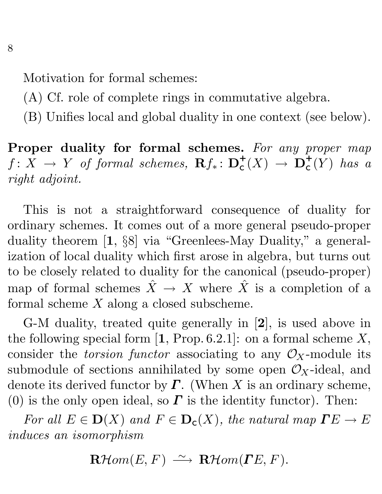Motivation for formal schemes:

- (A) Cf. role of complete rings in commutative algebra.
- (B) Unifies local and global duality in one context (see below).

**Proper duality for formal schemes.** *For any proper map*  $f: X \rightarrow Y$  *of formal schemes,*  $\mathbf{R} f_* \colon \mathbf{D}^+_{\mathsf{C}}(X) \rightarrow \mathbf{D}^+_{\mathsf{C}}(Y)$  *has a right adjoint.*

This is not a straightforward consequence of duality for ordinary schemes. It comes out of a more general pseudo-proper duality theorem [**1**, §8] via "Greenlees-May Duality," a generalization of local duality which first arose in algebra, but turns out to be closely related to duality for the canonical (pseudo-proper) map of formal schemes  $\hat{X} \to X$  where  $\hat{X}$  is a completion of a formal scheme X along a closed subscheme.

G-M duality, treated quite generally in [**2**], is used above in the following special form  $\left[1, \text{Prop. } 6.2.1\right]$ : on a formal scheme X, consider the *torsion functor* associating to any  $\mathcal{O}_X$ -module its submodule of sections annihilated by some open  $\mathcal{O}_X$ -ideal, and denote its derived functor by  $\Gamma$ . (When X is an ordinary scheme, (0) is the only open ideal, so  $\Gamma$  is the identity functor). Then:

*For all*  $E \in D(X)$  *and*  $F \in D_c(X)$ *, the natural map*  $\Gamma E \to E$ *induces an isomorphism*

 $\mathbf{R}$ Hom(E, F)  $\longrightarrow \mathbf{R}$ Hom( $\mathbf{\Gamma}$ E, F).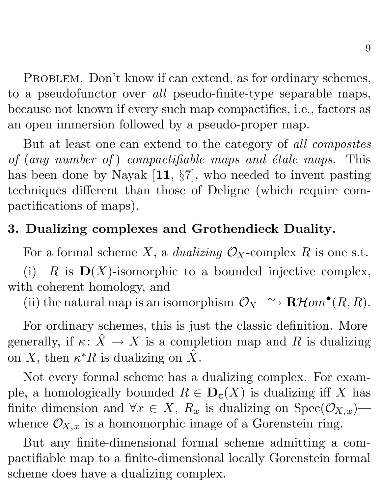PROBLEM. Don't know if can extend, as for ordinary schemes, to a pseudofunctor over *all* pseudo-finite-type separable maps, because not known if every such map compactifies, i.e., factors as an open immersion followed by a pseudo-proper map.

But at least one can extend to the category of *all composites of* (*any number of* ) *compactifiable maps and ´etale maps.* This has been done by Nayak [**11**, §7], who needed to invent pasting techniques different than those of Deligne (which require compactifications of maps).

# **3. Dualizing complexes and Grothendieck Duality.**

For a formal scheme X, a *dualizing*  $\mathcal{O}_X$ -complex R is one s.t.

(i)  $R$  is  $\mathbf{D}(X)$ -isomorphic to a bounded injective complex, with coherent homology, and

(ii) the natural map is an isomorphism  $\mathcal{O}_X \rightharpoonup \mathbf{R}\mathcal{H}$ om<sup>•</sup> $(R, R)$ .

For ordinary schemes, this is just the classic definition. More generally, if  $\kappa: \hat{X} \to X$  is a completion map and R is dualizing on X, then  $\kappa^*R$  is dualizing on X.

Not every formal scheme has a dualizing complex. For example, a homologically bounded  $R \in \mathbf{D}_{c}(X)$  is dualizing iff X has finite dimension and  $\forall x \in X$ ,  $R_x$  is dualizing on  $Spec(\mathcal{O}_{X,x})$  whence  $\mathcal{O}_{X,x}$  is a homomorphic image of a Gorenstein ring.

But any finite-dimensional formal scheme admitting a compactifiable map to a finite-dimensional locally Gorenstein formal scheme does have a dualizing complex.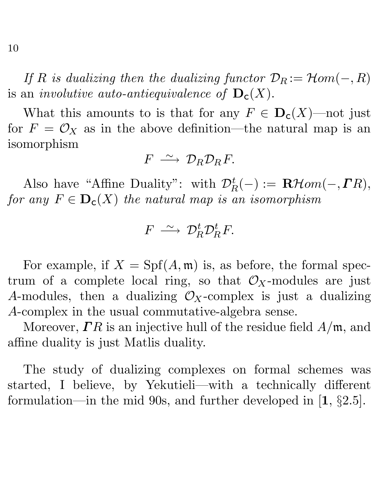*If* R *is dualizing then the dualizing functor*  $\mathcal{D}_R := \mathcal{H}$ *om* $(-, R)$ is an *involutive auto-antiequivalence of*  $\mathbf{D}_c(X)$ .

What this amounts to is that for any  $F \in D_c(X)$ —not just for  $F = \mathcal{O}_X$  as in the above definition—the natural map is an isomorphism

$$
F\,\stackrel{\sim}{\longrightarrow}\, \mathcal{D}_R\mathcal{D}_R F.
$$

Also have "Affine Duality": with  $\mathcal{D}_R^t(-) := \mathbf{R}\mathcal{H}om(-,\mathbf{\Gamma}R)$ , *for any*  $F \in \mathbf{D}_c(X)$  *the natural map is an isomorphism* 

$$
F \,\longrightarrow\, \mathcal{D}_R^t \mathcal{D}_R^t F.
$$

For example, if  $X = Spf(A, \mathfrak{m})$  is, as before, the formal spectrum of a complete local ring, so that  $\mathcal{O}_X$ -modules are just A-modules, then a dualizing  $\mathcal{O}_X$ -complex is just a dualizing A-complex in the usual commutative-algebra sense.

Moreover,  $\Gamma R$  is an injective hull of the residue field  $A/\mathfrak{m}$ , and affine duality is just Matlis duality.

The study of dualizing complexes on formal schemes was started, I believe, by Yekutieli—with a technically different formulation—in the mid 90s, and further developed in [**1**, §2.5].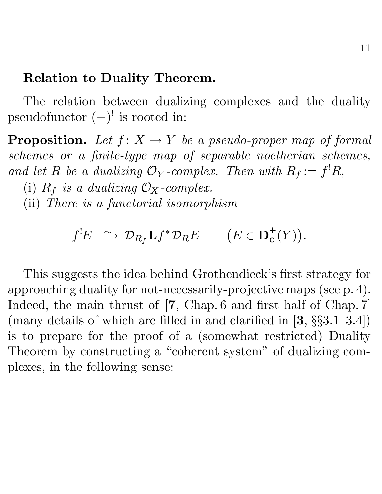#### **Relation to Duality Theorem.**

The relation between dualizing complexes and the duality pseudofunctor  $(-)^!$  is rooted in:

**Proposition.** Let  $f: X \to Y$  be a pseudo-proper map of formal *schemes or a finite-type map of separable noetherian schemes,* and let R be a dualizing  $\mathcal{O}_Y$ -complex. Then with  $R_f := f^! R$ ,

(i)  $R_f$  *is a dualizing*  $\mathcal{O}_X$ -complex.

(ii) *There is a functorial isomorphism*

$$
f^{!}E \ \stackrel{\sim}{\longrightarrow} \ \mathcal{D}_{R_f} \mathbf{L} f^* \mathcal{D}_R E \qquad (E \in \mathbf{D}_{\mathsf{c}}^+(Y)).
$$

This suggests the idea behind Grothendieck's first strategy for approaching duality for not-necessarily-projective maps (see p. 4). Indeed, the main thrust of [**7**, Chap. 6 and first half of Chap. 7] (many details of which are filled in and clarified in [**3**, §§3.1–3.4]) is to prepare for the proof of a (somewhat restricted) Duality Theorem by constructing a "coherent system" of dualizing complexes, in the following sense: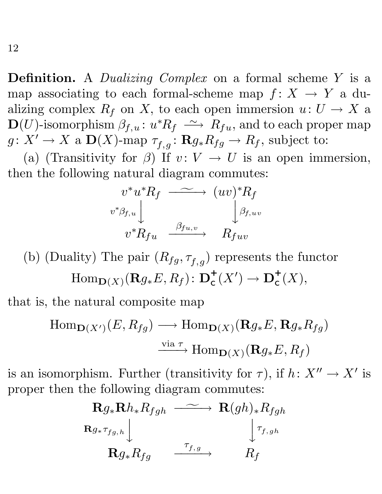**Definition.** A *Dualizing Complex* on a formal scheme Y is a map associating to each formal-scheme map  $f: X \to Y$  a dualizing complex  $R_f$  on X, to each open immersion  $u: U \to X$  a  $\mathbf{D}(U)$ -isomorphism  $\beta_{f,u} \colon u^*R_f \ \stackrel{\sim}{\longrightarrow}\ R_{fu},$  and to each proper map  $g: X' \to X$  a  $\mathbf{D}(X)$ -map  $\tau_{f,g}: \mathbf{R}g_*R_{fg} \to R_f$ , subject to:

(a) (Transitivity for  $\beta$ ) If  $v: V \to U$  is an open immersion, then the following natural diagram commutes:

$$
v^* u^* R_f \xrightarrow{v^* \beta_{f,u}} (uv)^* R_f
$$
  

$$
v^* \beta_{f,u} \downarrow \qquad \qquad \beta_{f,u,v}
$$
  

$$
v^* R_{fu} \xrightarrow{\beta_{fu,v}} R_{fuv}
$$

(b) (Duality) The pair  $(R_{fg}, \tau_{f,g})$  represents the functor  $\text{Hom}_{\mathbf{D}(X)}(\mathbf{R}g_*E, R_f) : \mathbf{D}^+_{\mathsf{C}}(X') \to \mathbf{D}^+_{\mathsf{C}}(X),$ 

that is, the natural composite map

$$
\text{Hom}_{\mathbf{D}(X')}(E, R_{fg}) \longrightarrow \text{Hom}_{\mathbf{D}(X)}(\mathbf{R}_{g*}E, \mathbf{R}_{g*}R_{fg})
$$
\n
$$
\xrightarrow{\text{via }\tau} \text{Hom}_{\mathbf{D}(X)}(\mathbf{R}_{g*}E, R_f)
$$

is an isomorphism. Further (transitivity for  $\tau$ ), if  $h: X'' \to X'$  is proper then the following diagram commutes:

$$
\begin{array}{ccc}\n\mathbf{R}g_{*}\mathbf{R}h_{*}R_{fgh} & \xrightarrow{\sim} & \mathbf{R}(gh)_{*}R_{fgh} \\
\mathbf{R}g_{*}\tau_{fg,h} & & \downarrow{\tau_{f,gh}} \\
\mathbf{R}g_{*}R_{fg} & \xrightarrow{\tau_{f,g}} & R_{f}\n\end{array}
$$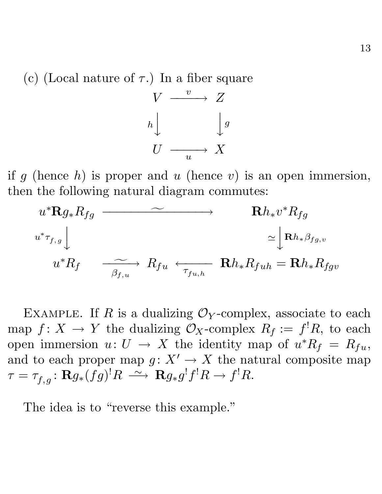(c) (Local nature of  $\tau$ .) In a fiber square



if g (hence  $h$ ) is proper and u (hence v) is an open immersion, then the following natural diagram commutes:

$$
u^* \mathbf{R} g_* R_{fg} \longrightarrow \mathbf{R} h_* v^* R_{fg}
$$
  

$$
u^* \tau_{f,g} \downarrow \simeq \mathbf{R} h_* \beta_{fg,v}
$$
  

$$
u^* R_f \longrightarrow R_{fu} \leftarrow \tau_{fu,h} \mathbf{R} h_* R_{fuh} = \mathbf{R} h_* R_{fgv}
$$

EXAMPLE. If R is a dualizing  $\mathcal{O}_Y$ -complex, associate to each map  $f: X \to Y$  the dualizing  $\mathcal{O}_X$ -complex  $R_f := f^! R$ , to each open immersion  $u: U \to X$  the identity map of  $u^*R_f = R_{fu}$ , and to each proper map  $g: X' \to X$  the natural composite map  $\tau = \tau_{f, g} \colon \mathbf{R} g_{\ast}(fg)^! R \ \stackrel{\sim}{\longrightarrow} \ \mathbf{R} g_{\ast} g^! f^! R \to f^! R.$ 

The idea is to "reverse this example."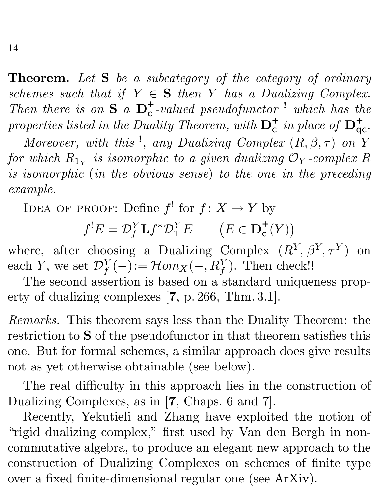**Theorem.** *Let* **S** *be a subcategory of the category of ordinary schemes such that if*  $Y \in S$  *then* Y *has a Dualizing Complex. Then there is on*  $S$ <sup>*a*</sup>  $D_c^+$ -valued pseudofunctor<sup>!</sup> which has the properties listed in the Duality Theorem, with  $D_c^+$  in place of  $D_{qc}^+$ .

*Moreover, with this*<sup>1</sup>, *any Dualizing Complex*  $(R, \beta, \tau)$  *on* Y *for which*  $R_{1y}$  *is isomorphic to a given dualizing*  $\mathcal{O}_Y$ *-complex* R *is isomorphic* (*in the obvious sense*) *to the one in the preceding example.*

IDEA OF PROOF: Define  $f'$  for  $f: X \to Y$  by

 $f^{!}E = \mathcal{D}_{f}^{Y}\mathbf{L}f^{*}\mathcal{D}_{1}^{Y}E$   $(E \in \mathbf{D}_{c}^{+}(Y))$  $\overline{ }$ 

where, after choosing a Dualizing Complex  $(R^Y, \beta^Y, \tau^Y)$  on each Y, we set  $\mathcal{D}_f^Y(-) := \mathcal{H}om_X(-, R_f^Y)$ . Then check!!

The second assertion is based on a standard uniqueness property of dualizing complexes [**7**, p. 266, Thm. 3.1].

*Remarks.* This theorem says less than the Duality Theorem: the restriction to **S** of the pseudofunctor in that theorem satisfies this one. But for formal schemes, a similar approach does give results not as yet otherwise obtainable (see below).

The real difficulty in this approach lies in the construction of Dualizing Complexes, as in [**7**, Chaps. 6 and 7].

Recently, Yekutieli and Zhang have exploited the notion of "rigid dualizing complex," first used by Van den Bergh in noncommutative algebra, to produce an elegant new approach to the construction of Dualizing Complexes on schemes of finite type over a fixed finite-dimensional regular one (see ArXiv).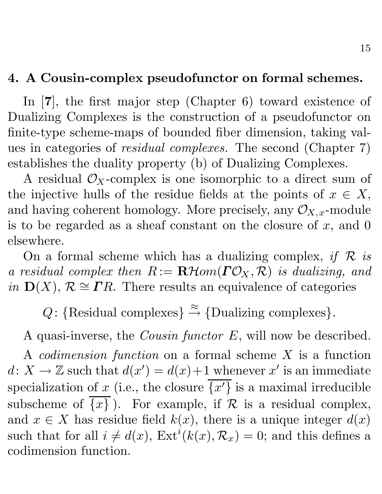### **4. A Cousin-complex pseudofunctor on formal schemes.**

In [**7**], the first major step (Chapter 6) toward existence of Dualizing Complexes is the construction of a pseudofunctor on finite-type scheme-maps of bounded fiber dimension, taking values in categories of *residual complexes.* The second (Chapter 7) establishes the duality property (b) of Dualizing Complexes.

A residual  $\mathcal{O}_X$ -complex is one isomorphic to a direct sum of the injective hulls of the residue fields at the points of  $x \in X$ , and having coherent homology. More precisely, any  $\mathcal{O}_{X,x}$ -module is to be regarded as a sheaf constant on the closure of  $x$ , and 0 elsewhere.

On a formal scheme which has a dualizing complex, *if*  $\mathcal R$  *is a residual complex then*  $R := \mathbf{R}$ Hom( $\mathbf{\Gamma} \mathcal{O}_X, \mathcal{R}$ ) *is dualizing, and in*  $D(X)$ ,  $R \cong IR$ . There results an equivalence of categories

Q: {Residual complexes}  $\stackrel{\approx}{\rightarrow}$  {Dualizing complexes}.

A quasi-inverse, the *Cousin functor* E, will now be described.

A *codimension function* on a formal scheme X is a function  $d: X \to \mathbb{Z}$  such that  $d(x') = d(x) + 1$  whenever x' is an immediate specialization of x (i.e., the closure  $\{x'\}$  is a maximal irreducible subscheme of  $\overline{\{x\}}$ ). For example, if R is a residual complex, and  $x \in X$  has residue field  $k(x)$ , there is a unique integer  $d(x)$ such that for all  $i \neq d(x)$ ,  $\text{Ext}^i(k(x), \mathcal{R}_x) = 0$ ; and this defines a codimension function.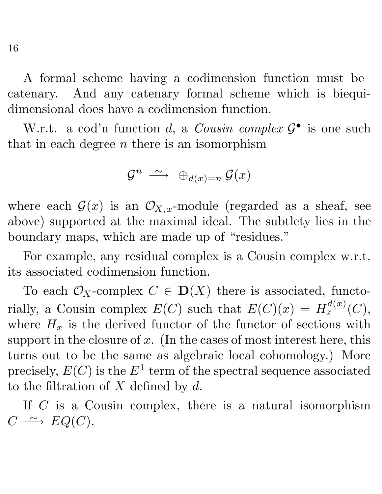A formal scheme having a codimension function must be catenary. And any catenary formal scheme which is biequidimensional does have a codimension function.

W.r.t. a cod'n function d, a *Cousin complex*  $\mathcal{G}^{\bullet}$  is one such that in each degree  $n$  there is an isomorphism

$$
\mathcal{G}^n \; \xrightarrow{\sim} \; \bigoplus_{d(x) = n} \mathcal{G}(x)
$$

where each  $\mathcal{G}(x)$  is an  $\mathcal{O}_{X,x}$ -module (regarded as a sheaf, see above) supported at the maximal ideal. The subtlety lies in the boundary maps, which are made up of "residues."

For example, any residual complex is a Cousin complex w.r.t. its associated codimension function.

To each  $\mathcal{O}_X$ -complex  $C \in \mathbf{D}(X)$  there is associated, functorially, a Cousin complex  $E(C)$  such that  $E(C)(x) = H_x^{d(x)}(C)$ , where  $H_x$  is the derived functor of the functor of sections with support in the closure of x. (In the cases of most interest here, this turns out to be the same as algebraic local cohomology.) More precisely,  $E(C)$  is the  $E^1$  term of the spectral sequence associated to the filtration of  $X$  defined by  $d$ .

If  $C$  is a Cousin complex, there is a natural isomorphism  $C \longrightarrow EQ(C).$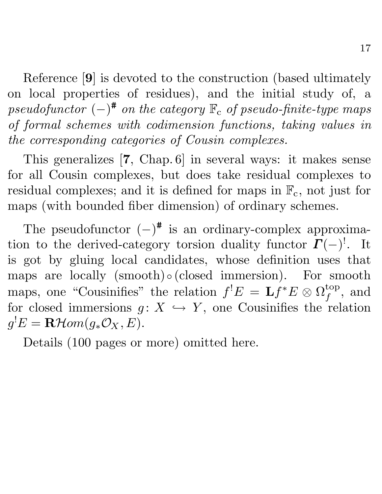Reference [**9**] is devoted to the construction (based ultimately on local properties of residues), and the initial study of, a *pseudofunctor*  $(-)^{\#}$  *on the category*  $\mathbb{F}_{c}$  *of pseudo-finite-type maps of formal schemes with codimension functions, taking values in the corresponding categories of Cousin complexes.*

This generalizes [**7**, Chap. 6] in several ways: it makes sense for all Cousin complexes, but does take residual complexes to residual complexes; and it is defined for maps in  $\mathbb{F}_c$ , not just for maps (with bounded fiber dimension) of ordinary schemes.

The pseudofunctor  $(-)^{\#}$  is an ordinary-complex approximation to the derived-category torsion duality functor  $\boldsymbol{\Gamma}(-)^!$ . It is got by gluing local candidates, whose definition uses that maps are locally  $(smooth) \circ (closed \, \, immersion)$ . For smooth maps, one "Cousinifies" the relation  $f^!E = \mathbf{L}f^*E \otimes \Omega_f^{\text{top}}$ , and for closed immersions  $g: X \hookrightarrow Y$ , one Cousinifies the relation  $g^{!}E = \mathbf{R}\mathcal{H}om(g_{*}\mathcal{O}_{X}, E).$ 

Details (100 pages or more) omitted here.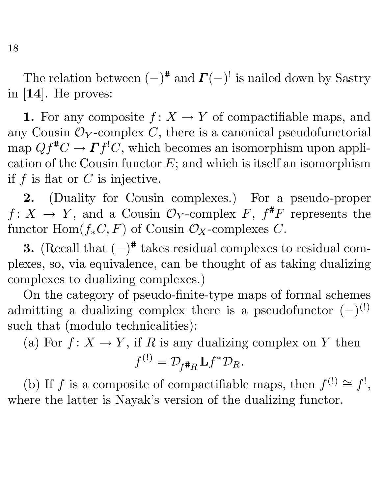The relation between  $(-)^{\#}$  and  $\Gamma(-)$ <sup>!</sup> is nailed down by Sastry in [**14**]. He proves:

**1.** For any composite  $f: X \to Y$  of compactifiable maps, and any Cousin  $\mathcal{O}_Y$ -complex C, there is a canonical pseudofunctorial map  $Qf^{\#}C \to \Gamma f^!C$ , which becomes an isomorphism upon application of the Cousin functor  $E$ ; and which is itself an isomorphism if  $f$  is flat or  $C$  is injective.

**2.** (Duality for Cousin complexes.) For a pseudo-proper  $f: X \to Y$ , and a Cousin  $\mathcal{O}_Y$ -complex F,  $f^{\#}F$  represents the functor Hom $(f_*C, F)$  of Cousin  $\mathcal{O}_X$ -complexes C.

**3.** (Recall that  $(-)^{\#}$  takes residual complexes to residual complexes, so, via equivalence, can be thought of as taking dualizing complexes to dualizing complexes.)

On the category of pseudo-finite-type maps of formal schemes admitting a dualizing complex there is a pseudofunctor  $(-)^{(!)}$ such that (modulo technicalities):

(a) For  $f: X \to Y$ , if R is any dualizing complex on Y then

$$
f^{(!)} = \mathcal{D}_{f^{\#}R} \mathbf{L} f^* \mathcal{D}_R.
$$

(b) If f is a composite of compactifiable maps, then  $f^{(!)}\cong f^{!}$ , where the latter is Nayak's version of the dualizing functor.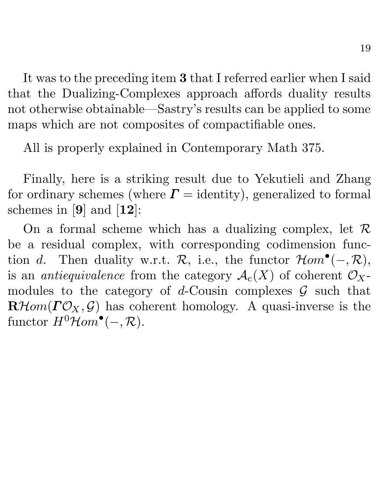It was to the preceding item **3** that I referred earlier when I said that the Dualizing-Complexes approach affords duality results not otherwise obtainable—Sastry's results can be applied to some maps which are not composites of compactifiable ones.

All is properly explained in Contemporary Math 375.

Finally, here is a striking result due to Yekutieli and Zhang for ordinary schemes (where  $\Gamma =$  identity), generalized to formal schemes in [**9**] and [**12**]:

On a formal scheme which has a dualizing complex, let  $\mathcal R$ be a residual complex, with corresponding codimension function d. Then duality w.r.t.  $\mathcal{R}$ , i.e., the functor  $\mathcal{H}om^{\bullet}(-, \mathcal{R}),$ is an *antiequivalence* from the category  $\mathcal{A}_{c}(X)$  of coherent  $\mathcal{O}_{X}$ modules to the category of d-Cousin complexes  $\mathcal G$  such that  $\mathbf{R}\text{Hom}(\mathbf{\Gamma} \mathcal{O}_X, \mathcal{G})$  has coherent homology. A quasi-inverse is the functor  $H^0$ *Hom*<sup>•</sup>(-, *R*).